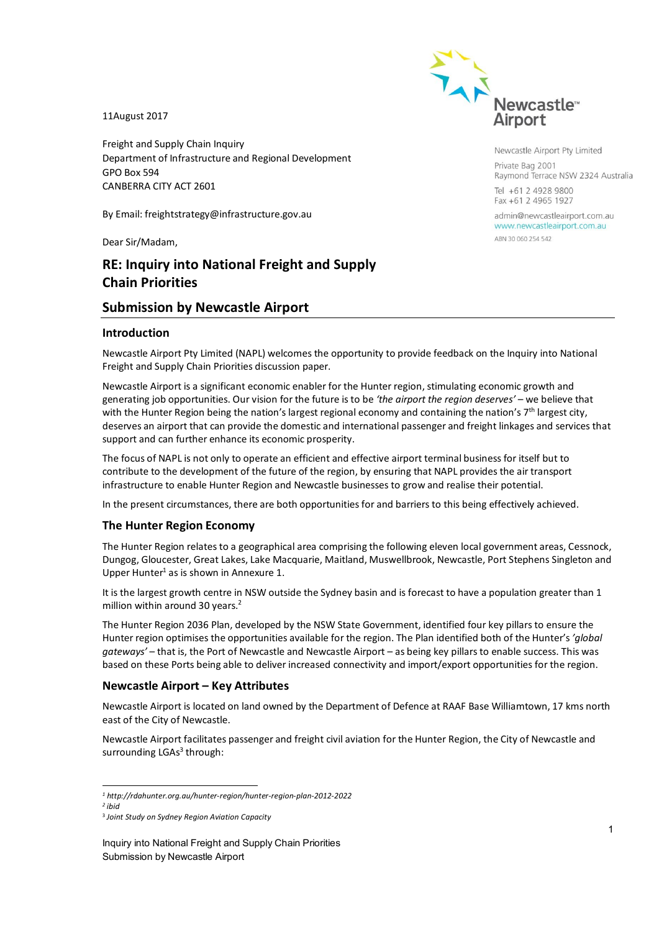11August 2017

Freight and Supply Chain Inquiry Department of Infrastructure and Regional Development GPO Box 594 CANBERRA CITY ACT 2601

By Email: freightstrategy@infrastructure.gov.au

Dear Sir/Madam,

# **RE: Inquiry into National Freight and Supply Chain Priorities**

# **Submission by Newcastle Airport**

### **Introduction**

Newcastle Airport Pty Limited (NAPL) welcomes the opportunity to provide feedback on the Inquiry into National Freight and Supply Chain Priorities discussion paper.

Newcastle Airport is a significant economic enabler for the Hunter region, stimulating economic growth and generating job opportunities. Our vision for the future is to be *'the airport the region deserves'* – we believe that with the Hunter Region being the nation's largest regional economy and containing the nation's 7<sup>th</sup> largest city, deserves an airport that can provide the domestic and international passenger and freight linkages and services that support and can further enhance its economic prosperity.

The focus of NAPL is not only to operate an efficient and effective airport terminal business for itself but to contribute to the development of the future of the region, by ensuring that NAPL provides the air transport infrastructure to enable Hunter Region and Newcastle businesses to grow and realise their potential.

In the present circumstances, there are both opportunities for and barriers to this being effectively achieved.

### **The Hunter Region Economy**

The Hunter Region relates to a geographical area comprising the following eleven local government areas, Cessnock, Dungog, Gloucester, Great Lakes, Lake Macquarie, Maitland, Muswellbrook, Newcastle, Port Stephens Singleton and Upper Hunter<sup>1</sup> as is shown in Annexure 1.

It is the largest growth centre in NSW outside the Sydney basin and is forecast to have a population greater than 1 million within around 30 years.<sup>2</sup>

The Hunter Region 2036 Plan, developed by the NSW State Government, identified four key pillars to ensure the Hunter region optimises the opportunities available for the region. The Plan identified both of the Hunter's *'global gateways'* – that is, the Port of Newcastle and Newcastle Airport – as being key pillars to enable success. This was based on these Ports being able to deliver increased connectivity and import/export opportunities for the region.

### **Newcastle Airport – Key Attributes**

Newcastle Airport is located on land owned by the Department of Defence at RAAF Base Williamtown, 17 kms north east of the City of Newcastle.

Newcastle Airport facilitates passenger and freight civil aviation for the Hunter Region, the City of Newcastle and surrounding LGAs<sup>3</sup> through:

-



Newcastle Airport Pty Limited Private Bag 2001 Raymond Terrace NSW 2324 Australia Tel +61 2 4928 9800 Fax +61 2 4965 1927

admin@newcastleairport.com.au www.newcastleairport.com.au ABN 30 060 254 542

*<sup>1</sup> http://rdahunter.org.au/hunter-region/hunter-region-plan-2012-2022* 

*<sup>2</sup> ibid*

<sup>3</sup> *Joint Study on Sydney Region Aviation Capacity*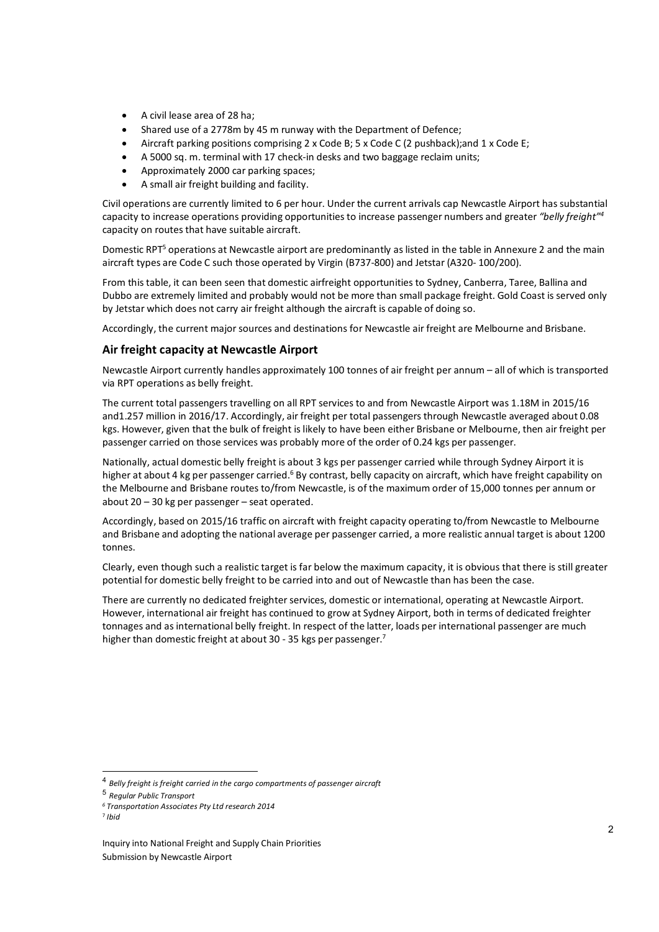- A civil lease area of 28 ha;
- Shared use of a 2778m by 45 m runway with the Department of Defence;
- Aircraft parking positions comprising 2 x Code B; 5 x Code C (2 pushback);and 1 x Code E;
- A 5000 sq. m. terminal with 17 check-in desks and two baggage reclaim units;
- Approximately 2000 car parking spaces;
- A small air freight building and facility.

Civil operations are currently limited to 6 per hour. Under the current arrivals cap Newcastle Airport has substantial capacity to increase operations providing opportunities to increase passenger numbers and greater *"belly freight"<sup>4</sup>* capacity on routes that have suitable aircraft.

Domestic RPT<sup>5</sup> operations at Newcastle airport are predominantly as listed in the table in Annexure 2 and the main aircraft types are Code C such those operated by Virgin (B737-800) and Jetstar (A320- 100/200).

From this table, it can been seen that domestic airfreight opportunities to Sydney, Canberra, Taree, Ballina and Dubbo are extremely limited and probably would not be more than small package freight. Gold Coast is served only by Jetstar which does not carry air freight although the aircraft is capable of doing so.

Accordingly, the current major sources and destinations for Newcastle air freight are Melbourne and Brisbane.

# **Air freight capacity at Newcastle Airport**

Newcastle Airport currently handles approximately 100 tonnes of air freight per annum – all of which is transported via RPT operations as belly freight.

The current total passengers travelling on all RPT services to and from Newcastle Airport was 1.18M in 2015/16 and1.257 million in 2016/17. Accordingly, air freight per total passengers through Newcastle averaged about 0.08 kgs. However, given that the bulk of freight is likely to have been either Brisbane or Melbourne, then air freight per passenger carried on those services was probably more of the order of 0.24 kgs per passenger.

Nationally, actual domestic belly freight is about 3 kgs per passenger carried while through Sydney Airport it is higher at about 4 kg per passenger carried.<sup>6</sup> By contrast, belly capacity on aircraft, which have freight capability on the Melbourne and Brisbane routes to/from Newcastle, is of the maximum order of 15,000 tonnes per annum or about 20 – 30 kg per passenger – seat operated.

Accordingly, based on 2015/16 traffic on aircraft with freight capacity operating to/from Newcastle to Melbourne and Brisbane and adopting the national average per passenger carried, a more realistic annual target is about 1200 tonnes.

Clearly, even though such a realistic target is far below the maximum capacity, it is obvious that there is still greater potential for domestic belly freight to be carried into and out of Newcastle than has been the case.

There are currently no dedicated freighter services, domestic or international, operating at Newcastle Airport. However, international air freight has continued to grow at Sydney Airport, both in terms of dedicated freighter tonnages and as international belly freight. In respect of the latter, loads per international passenger are much higher than domestic freight at about 30 - 35 kgs per passenger.<sup>7</sup>

-

<sup>4</sup> *Belly freight is freight carried in the cargo compartments of passenger aircraft*

<sup>5</sup> *Regular Public Transport*

*<sup>6</sup> Transportation Associates Pty Ltd research 2014* 

<sup>7</sup> *Ibid*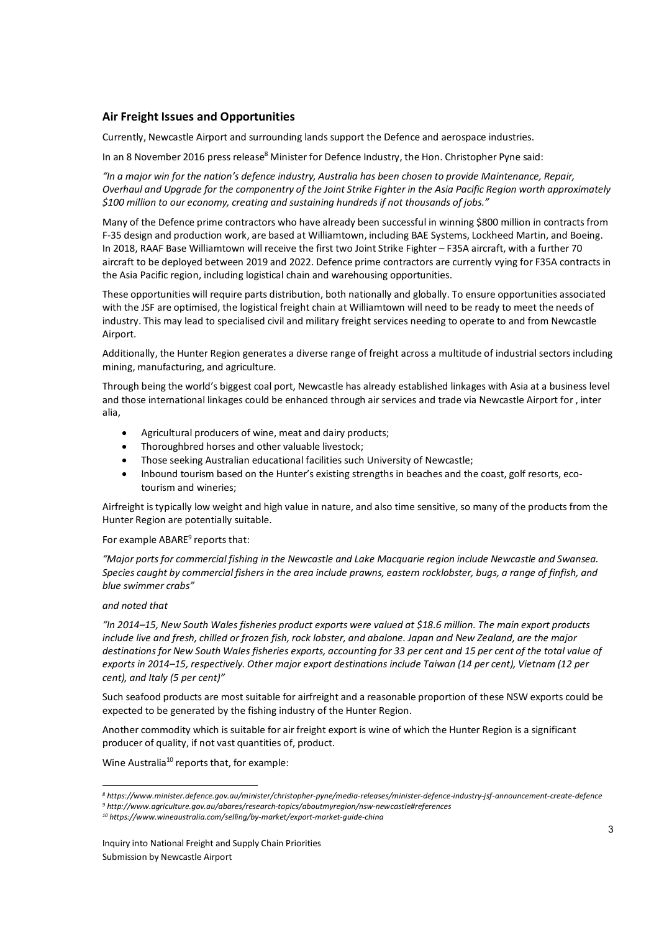# **Air Freight Issues and Opportunities**

Currently, Newcastle Airport and surrounding lands support the Defence and aerospace industries.

In an 8 November 2016 press release<sup>8</sup> Minister for Defence Industry, the Hon. Christopher Pyne said:

*"In a major win for the nation's defence industry, Australia has been chosen to provide Maintenance, Repair, Overhaul and Upgrade for the componentry of the Joint Strike Fighter in the Asia Pacific Region worth approximately \$100 million to our economy, creating and sustaining hundreds if not thousands of jobs."* 

Many of the Defence prime contractors who have already been successful in winning \$800 million in contracts from F-35 design and production work, are based at Williamtown, including BAE Systems, Lockheed Martin, and Boeing. In 2018, RAAF Base Williamtown will receive the first two Joint Strike Fighter – F35A aircraft, with a further 70 aircraft to be deployed between 2019 and 2022. Defence prime contractors are currently vying for F35A contracts in the Asia Pacific region, including logistical chain and warehousing opportunities.

These opportunities will require parts distribution, both nationally and globally. To ensure opportunities associated with the JSF are optimised, the logistical freight chain at Williamtown will need to be ready to meet the needs of industry. This may lead to specialised civil and military freight services needing to operate to and from Newcastle Airport.

Additionally, the Hunter Region generates a diverse range of freight across a multitude of industrial sectors including mining, manufacturing, and agriculture.

Through being the world's biggest coal port, Newcastle has already established linkages with Asia at a business level and those international linkages could be enhanced through air services and trade via Newcastle Airport for , inter alia,

- Agricultural producers of wine, meat and dairy products;
- Thoroughbred horses and other valuable livestock;
- Those seeking Australian educational facilities such University of Newcastle;
- Inbound tourism based on the Hunter's existing strengths in beaches and the coast, golf resorts, ecotourism and wineries;

Airfreight is typically low weight and high value in nature, and also time sensitive, so many of the products from the Hunter Region are potentially suitable.

#### For example ABARE<sup>9</sup> reports that:

*"Major ports for commercial fishing in the Newcastle and Lake Macquarie region include Newcastle and Swansea. Species caught by commercial fishers in the area include prawns, eastern rocklobster, bugs, a range of finfish, and blue swimmer crabs"* 

#### *and noted that*

-

*"In 2014–15, New South Wales fisheries product exports were valued at \$18.6 million. The main export products include live and fresh, chilled or frozen fish, rock lobster, and abalone. Japan and New Zealand, are the major destinations for New South Wales fisheries exports, accounting for 33 per cent and 15 per cent of the total value of exports in 2014–15, respectively. Other major export destinations include Taiwan (14 per cent), Vietnam (12 per cent), and Italy (5 per cent)"* 

Such seafood products are most suitable for airfreight and a reasonable proportion of these NSW exports could be expected to be generated by the fishing industry of the Hunter Region.

Another commodity which is suitable for air freight export is wine of which the Hunter Region is a significant producer of quality, if not vast quantities of, product.

Wine Australia<sup>10</sup> reports that, for example:

*<sup>8</sup> https://www.minister.defence.gov.au/minister/christopher-pyne/media-releases/minister-defence-industry-jsf-announcement-create-defence* 

*<sup>9</sup> http://www.agriculture.gov.au/abares/research-topics/aboutmyregion/nsw-newcastle#references 10 https://www.wineaustralia.com/selling/by-market/export-market-guide-china*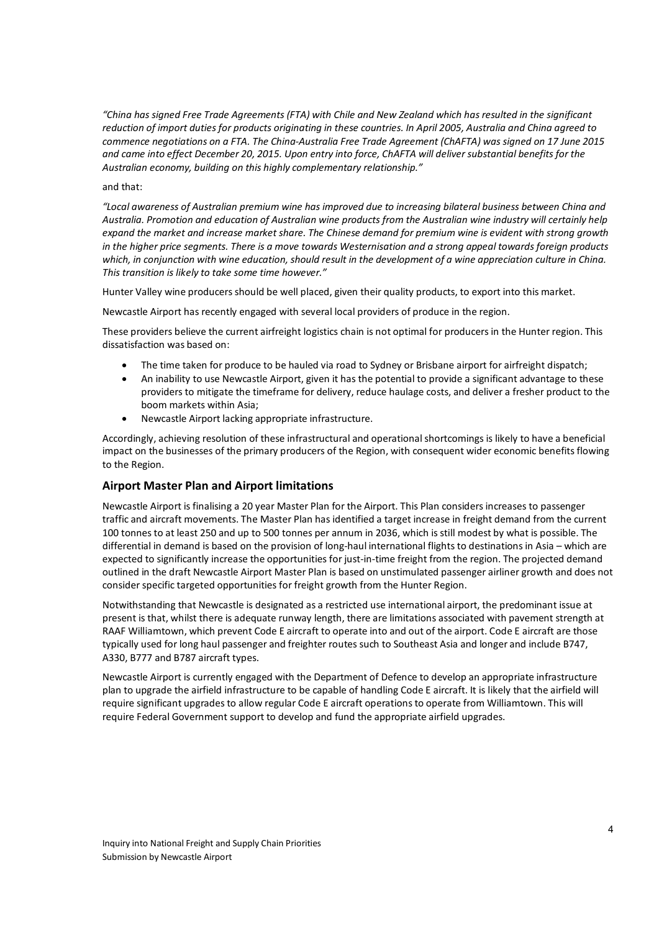*"China has signed Free Trade Agreements (FTA) with Chile and New Zealand which has resulted in the significant reduction of import duties for products originating in these countries. In April 2005, Australia and China agreed to commence negotiations on a FTA. The China-Australia Free Trade Agreement (ChAFTA) was signed on 17 June 2015 and came into effect December 20, 2015. Upon entry into force, ChAFTA will deliver substantial benefits for the Australian economy, building on this highly complementary relationship."* 

### and that:

*"Local awareness of Australian premium wine has improved due to increasing bilateral business between China and Australia. Promotion and education of Australian wine products from the Australian wine industry will certainly help expand the market and increase market share. The Chinese demand for premium wine is evident with strong growth in the higher price segments. There is a move towards Westernisation and a strong appeal towards foreign products which, in conjunction with wine education, should result in the development of a wine appreciation culture in China. This transition is likely to take some time however."* 

Hunter Valley wine producers should be well placed, given their quality products, to export into this market.

Newcastle Airport has recently engaged with several local providers of produce in the region.

These providers believe the current airfreight logistics chain is not optimal for producers in the Hunter region. This dissatisfaction was based on:

- The time taken for produce to be hauled via road to Sydney or Brisbane airport for airfreight dispatch;
- An inability to use Newcastle Airport, given it has the potential to provide a significant advantage to these providers to mitigate the timeframe for delivery, reduce haulage costs, and deliver a fresher product to the boom markets within Asia;
- Newcastle Airport lacking appropriate infrastructure.

Accordingly, achieving resolution of these infrastructural and operational shortcomings is likely to have a beneficial impact on the businesses of the primary producers of the Region, with consequent wider economic benefits flowing to the Region.

### **Airport Master Plan and Airport limitations**

Newcastle Airport is finalising a 20 year Master Plan for the Airport. This Plan considers increases to passenger traffic and aircraft movements. The Master Plan has identified a target increase in freight demand from the current 100 tonnes to at least 250 and up to 500 tonnes per annum in 2036, which is still modest by what is possible. The differential in demand is based on the provision of long-haul international flights to destinations in Asia – which are expected to significantly increase the opportunities for just-in-time freight from the region. The projected demand outlined in the draft Newcastle Airport Master Plan is based on unstimulated passenger airliner growth and does not consider specific targeted opportunities for freight growth from the Hunter Region.

Notwithstanding that Newcastle is designated as a restricted use international airport, the predominant issue at present is that, whilst there is adequate runway length, there are limitations associated with pavement strength at RAAF Williamtown, which prevent Code E aircraft to operate into and out of the airport. Code E aircraft are those typically used for long haul passenger and freighter routes such to Southeast Asia and longer and include B747, A330, B777 and B787 aircraft types.

Newcastle Airport is currently engaged with the Department of Defence to develop an appropriate infrastructure plan to upgrade the airfield infrastructure to be capable of handling Code E aircraft. It is likely that the airfield will require significant upgrades to allow regular Code E aircraft operations to operate from Williamtown. This will require Federal Government support to develop and fund the appropriate airfield upgrades.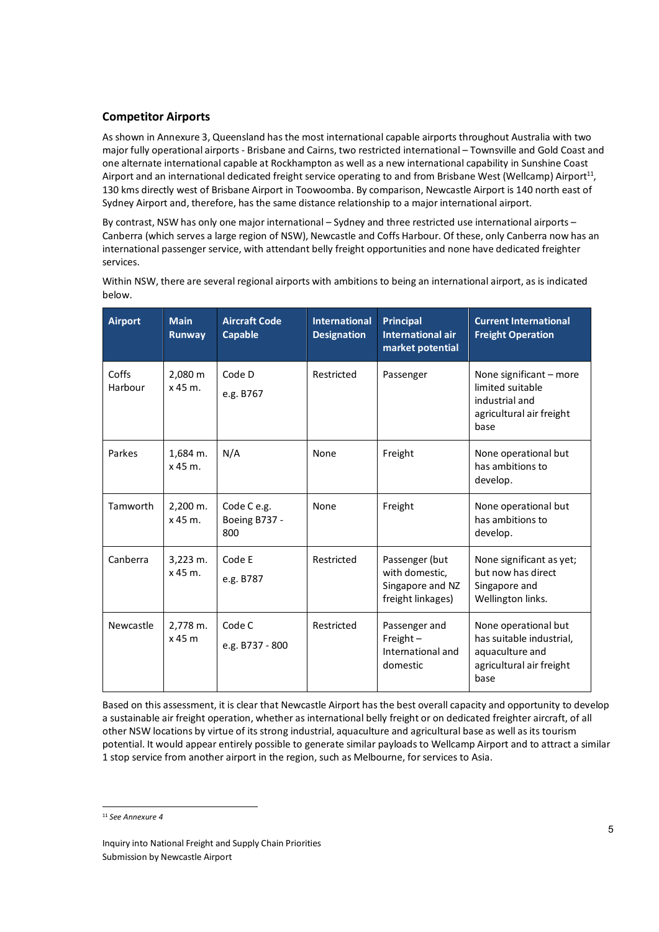# **Competitor Airports**

As shown in Annexure 3, Queensland has the most international capable airports throughout Australia with two major fully operational airports - Brisbane and Cairns, two restricted international – Townsville and Gold Coast and one alternate international capable at Rockhampton as well as a new international capability in Sunshine Coast Airport and an international dedicated freight service operating to and from Brisbane West (Wellcamp) Airport<sup>11</sup>, 130 kms directly west of Brisbane Airport in Toowoomba. By comparison, Newcastle Airport is 140 north east of Sydney Airport and, therefore, has the same distance relationship to a major international airport.

By contrast, NSW has only one major international – Sydney and three restricted use international airports – Canberra (which serves a large region of NSW), Newcastle and Coffs Harbour. Of these, only Canberra now has an international passenger service, with attendant belly freight opportunities and none have dedicated freighter services.

| <b>Airport</b>   | <b>Main</b><br>Runway      | <b>Aircraft Code</b><br><b>Capable</b> | <b>International</b><br><b>Designation</b> | <b>Principal</b><br><b>International air</b><br>market potential          | <b>Current International</b><br><b>Freight Operation</b>                                                |
|------------------|----------------------------|----------------------------------------|--------------------------------------------|---------------------------------------------------------------------------|---------------------------------------------------------------------------------------------------------|
| Coffs<br>Harbour | 2,080 m<br>$x$ 45 m.       | Code D<br>e.g. B767                    | Restricted                                 | Passenger                                                                 | None significant - more<br>limited suitable<br>industrial and<br>agricultural air freight<br>base       |
| Parkes           | 1,684 m.<br>x 45 m.        | N/A                                    | None                                       | Freight                                                                   | None operational but<br>has ambitions to<br>develop.                                                    |
| Tamworth         | $2.200$ m.<br>$x$ 45 m.    | Code C e.g.<br>Boeing B737 -<br>800    | None                                       | Freight                                                                   | None operational but<br>has ambitions to<br>develop.                                                    |
| Canberra         | $3,223$ m.<br>$x$ 45 $m$ . | Code E<br>e.g. B787                    | Restricted                                 | Passenger (but<br>with domestic,<br>Singapore and NZ<br>freight linkages) | None significant as yet;<br>but now has direct<br>Singapore and<br>Wellington links.                    |
| Newcastle        | 2,778 m.<br>$x$ 45 $m$     | Code C<br>e.g. B737 - 800              | Restricted                                 | Passenger and<br>Freight $-$<br>International and<br>domestic             | None operational but<br>has suitable industrial,<br>aquaculture and<br>agricultural air freight<br>base |

Within NSW, there are several regional airports with ambitions to being an international airport, as is indicated below.

Based on this assessment, it is clear that Newcastle Airport has the best overall capacity and opportunity to develop a sustainable air freight operation, whether as international belly freight or on dedicated freighter aircraft, of all other NSW locations by virtue of its strong industrial, aquaculture and agricultural base as well as its tourism potential. It would appear entirely possible to generate similar payloads to Wellcamp Airport and to attract a similar 1 stop service from another airport in the region, such as Melbourne, for services to Asia.

-

<sup>11</sup> *See Annexure 4*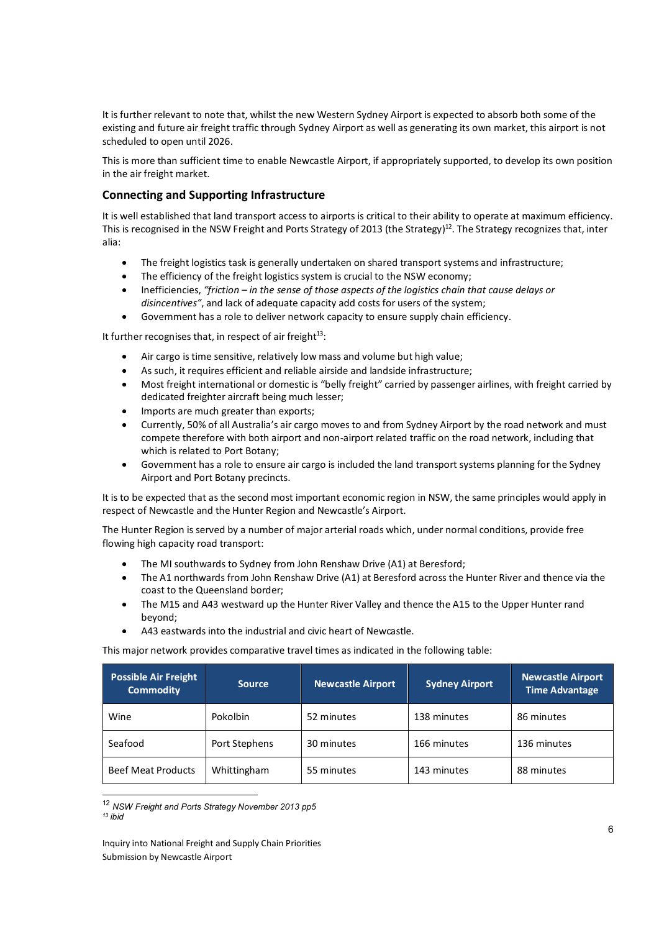It is further relevant to note that, whilst the new Western Sydney Airport is expected to absorb both some of the existing and future air freight traffic through Sydney Airport as well as generating its own market, this airport is not scheduled to open until 2026.

This is more than sufficient time to enable Newcastle Airport, if appropriately supported, to develop its own position in the air freight market.

# **Connecting and Supporting Infrastructure**

It is well established that land transport access to airports is critical to their ability to operate at maximum efficiency. This is recognised in the NSW Freight and Ports Strategy of 2013 (the Strategy)<sup>12</sup>. The Strategy recognizes that, inter alia:

- The freight logistics task is generally undertaken on shared transport systems and infrastructure;
- The efficiency of the freight logistics system is crucial to the NSW economy;
- Inefficiencies, *"friction in the sense of those aspects of the logistics chain that cause delays or disincentives"*, and lack of adequate capacity add costs for users of the system;
- Government has a role to deliver network capacity to ensure supply chain efficiency.

It further recognises that, in respect of air freight $13$ :

- Air cargo is time sensitive, relatively low mass and volume but high value;
- As such, it requires efficient and reliable airside and landside infrastructure;
- Most freight international or domestic is "belly freight" carried by passenger airlines, with freight carried by dedicated freighter aircraft being much lesser;
- Imports are much greater than exports;
- Currently, 50% of all Australia's air cargo moves to and from Sydney Airport by the road network and must compete therefore with both airport and non-airport related traffic on the road network, including that which is related to Port Botany;
- Government has a role to ensure air cargo is included the land transport systems planning for the Sydney Airport and Port Botany precincts.

It is to be expected that as the second most important economic region in NSW, the same principles would apply in respect of Newcastle and the Hunter Region and Newcastle's Airport.

The Hunter Region is served by a number of major arterial roads which, under normal conditions, provide free flowing high capacity road transport:

- The MI southwards to Sydney from John Renshaw Drive (A1) at Beresford;
- The A1 northwards from John Renshaw Drive (A1) at Beresford across the Hunter River and thence via the coast to the Queensland border;
- The M15 and A43 westward up the Hunter River Valley and thence the A15 to the Upper Hunter rand beyond;
- A43 eastwards into the industrial and civic heart of Newcastle.

This major network provides comparative travel times as indicated in the following table:

| <b>Possible Air Freight</b><br><b>Commodity</b> | <b>Source</b> | <b>Newcastle Airport</b> | <b>Sydney Airport</b> | <b>Newcastle Airport</b><br><b>Time Advantage</b> |
|-------------------------------------------------|---------------|--------------------------|-----------------------|---------------------------------------------------|
| Wine                                            | Pokolbin      | 52 minutes               | 138 minutes           | 86 minutes                                        |
| Seafood                                         | Port Stephens | 30 minutes               | 166 minutes           | 136 minutes                                       |
| <b>Beef Meat Products</b>                       | Whittingham   | 55 minutes               | 143 minutes           | 88 minutes                                        |

<sup>12</sup> *NSW Freight and Ports Strategy November 2013 pp5 13 ibid* 

-

Inquiry into National Freight and Supply Chain Priorities Submission by Newcastle Airport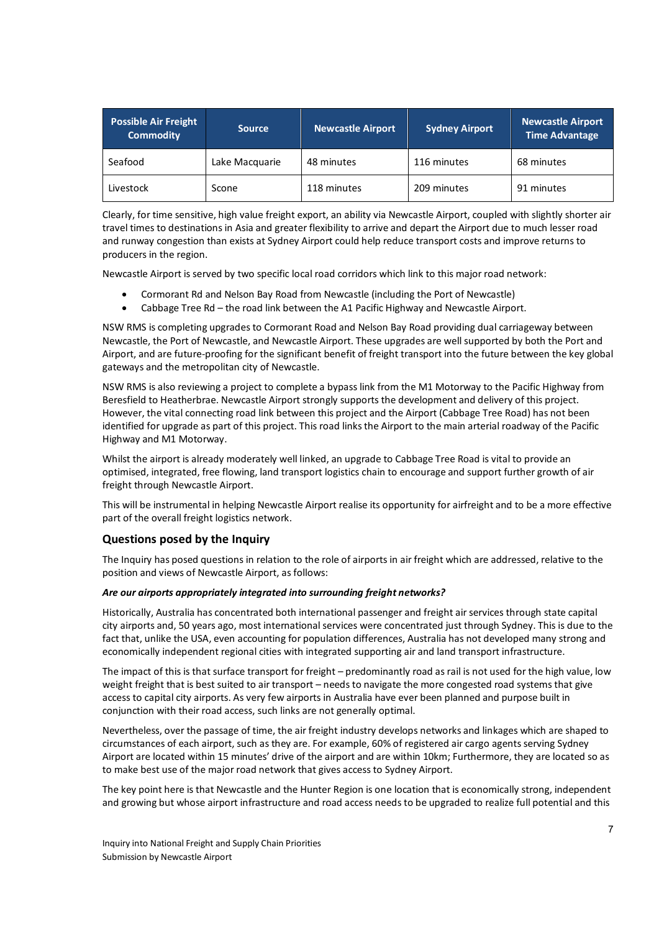| <b>Possible Air Freight</b><br><b>Commodity</b> | <b>Source</b>  | <b>Newcastle Airport</b> | <b>Sydney Airport</b> | <b>Newcastle Airport</b><br><b>Time Advantage</b> |
|-------------------------------------------------|----------------|--------------------------|-----------------------|---------------------------------------------------|
| Seafood                                         | Lake Macquarie | 48 minutes               | 116 minutes           | 68 minutes                                        |
| Livestock                                       | Scone          | 118 minutes              | 209 minutes           | 91 minutes                                        |

Clearly, for time sensitive, high value freight export, an ability via Newcastle Airport, coupled with slightly shorter air travel times to destinations in Asia and greater flexibility to arrive and depart the Airport due to much lesser road and runway congestion than exists at Sydney Airport could help reduce transport costs and improve returns to producers in the region.

Newcastle Airport is served by two specific local road corridors which link to this major road network:

- Cormorant Rd and Nelson Bay Road from Newcastle (including the Port of Newcastle)
- Cabbage Tree Rd the road link between the A1 Pacific Highway and Newcastle Airport.

NSW RMS is completing upgrades to Cormorant Road and Nelson Bay Road providing dual carriageway between Newcastle, the Port of Newcastle, and Newcastle Airport. These upgrades are well supported by both the Port and Airport, and are future-proofing for the significant benefit of freight transport into the future between the key global gateways and the metropolitan city of Newcastle.

NSW RMS is also reviewing a project to complete a bypass link from the M1 Motorway to the Pacific Highway from Beresfield to Heatherbrae. Newcastle Airport strongly supports the development and delivery of this project. However, the vital connecting road link between this project and the Airport (Cabbage Tree Road) has not been identified for upgrade as part of this project. This road links the Airport to the main arterial roadway of the Pacific Highway and M1 Motorway.

Whilst the airport is already moderately well linked, an upgrade to Cabbage Tree Road is vital to provide an optimised, integrated, free flowing, land transport logistics chain to encourage and support further growth of air freight through Newcastle Airport.

This will be instrumental in helping Newcastle Airport realise its opportunity for airfreight and to be a more effective part of the overall freight logistics network.

#### **Questions posed by the Inquiry**

The Inquiry has posed questions in relation to the role of airports in air freight which are addressed, relative to the position and views of Newcastle Airport, as follows:

#### *Are our airports appropriately integrated into surrounding freight networks?*

Historically, Australia has concentrated both international passenger and freight air services through state capital city airports and, 50 years ago, most international services were concentrated just through Sydney. This is due to the fact that, unlike the USA, even accounting for population differences, Australia has not developed many strong and economically independent regional cities with integrated supporting air and land transport infrastructure.

The impact of this is that surface transport for freight – predominantly road as rail is not used for the high value, low weight freight that is best suited to air transport – needs to navigate the more congested road systems that give access to capital city airports. As very few airports in Australia have ever been planned and purpose built in conjunction with their road access, such links are not generally optimal.

Nevertheless, over the passage of time, the air freight industry develops networks and linkages which are shaped to circumstances of each airport, such as they are. For example, 60% of registered air cargo agents serving Sydney Airport are located within 15 minutes' drive of the airport and are within 10km; Furthermore, they are located so as to make best use of the major road network that gives access to Sydney Airport.

The key point here is that Newcastle and the Hunter Region is one location that is economically strong, independent and growing but whose airport infrastructure and road access needs to be upgraded to realize full potential and this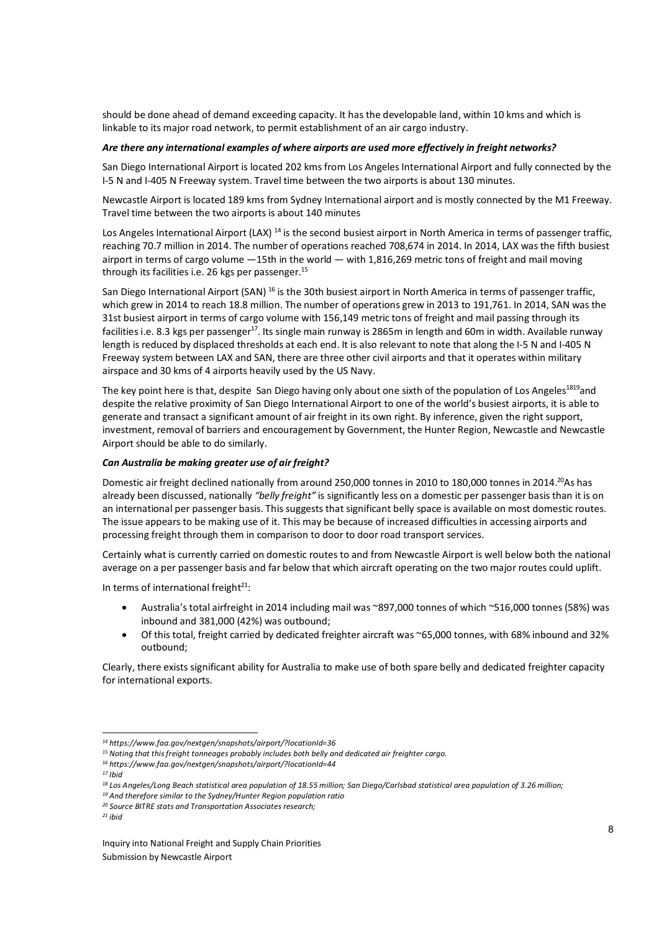should be done ahead of demand exceeding capacity. It has the developable land, within 10 kms and which is linkable to its major road network, to permit establishment of an air cargo industry.

### *Are there any international examples of where airports are used more effectively in freight networks?*

San Diego International Airport is located 202 kms from Los Angeles International Airport and fully connected by the I-5 N and I-405 N Freeway system. Travel time between the two airports is about 130 minutes.

Newcastle Airport is located 189 kms from Sydney International airport and is mostly connected by the M1 Freeway. Travel time between the two airports is about 140 minutes

Los Angeles International Airport (LAX) <sup>14</sup> is the second busiest airport in North America in terms of passenger traffic, reaching 70.7 million in 2014. The number of operations reached 708,674 in 2014. In 2014, LAX was the fifth busiest airport in terms of cargo volume —15th in the world — with 1,816,269 metric tons of freight and mail moving through its facilities i.e. 26 kgs per passenger.<sup>15</sup>

San Diego International Airport (SAN) <sup>16</sup> is the 30th busiest airport in North America in terms of passenger traffic, which grew in 2014 to reach 18.8 million. The number of operations grew in 2013 to 191,761. In 2014, SAN was the 31st busiest airport in terms of cargo volume with 156,149 metric tons of freight and mail passing through its facilities i.e. 8.3 kgs per passenger<sup>17</sup>. Its single main runway is 2865m in length and 60m in width. Available runway length is reduced by displaced thresholds at each end. It is also relevant to note that along the I-5 N and I-405 N Freeway system between LAX and SAN, there are three other civil airports and that it operates within military airspace and 30 kms of 4 airports heavily used by the US Navy.

The key point here is that, despite San Diego having only about one sixth of the population of Los Angeles<sup>1819</sup>and despite the relative proximity of San Diego International Airport to one of the world's busiest airports, it is able to generate and transact a significant amount of air freight in its own right. By inference, given the right support, investment, removal of barriers and encouragement by Government, the Hunter Region, Newcastle and Newcastle Airport should be able to do similarly.

### *Can Australia be making greater use of air freight?*

Domestic air freight declined nationally from around 250,000 tonnes in 2010 to 180,000 tonnes in 2014.<sup>20</sup>As has already been discussed, nationally *"belly freight"* is significantly less on a domestic per passenger basis than it is on an international per passenger basis. This suggests that significant belly space is available on most domestic routes. The issue appears to be making use of it. This may be because of increased difficulties in accessing airports and processing freight through them in comparison to door to door road transport services.

Certainly what is currently carried on domestic routes to and from Newcastle Airport is well below both the national average on a per passenger basis and far below that which aircraft operating on the two major routes could uplift.

In terms of international freight $21$ :

- Australia's total airfreight in 2014 including mail was ~897,000 tonnes of which ~516,000 tonnes (58%) was inbound and 381,000 (42%) was outbound;
- Of this total, freight carried by dedicated freighter aircraft was ~65,000 tonnes, with 68% inbound and 32% outbound;

Clearly, there exists significant ability for Australia to make use of both spare belly and dedicated freighter capacity for international exports.

-

*<sup>14</sup> https://www.faa.gov/nextgen/snapshots/airport/?locationId=36* 

*<sup>15</sup> Noting that this freight tonneages probably includes both belly and dedicated air freighter cargo.* 

*<sup>16</sup> https://www.faa.gov/nextgen/snapshots/airport/?locationId=44* 

*<sup>17</sup> Ibid* 

*<sup>18</sup> Los Angeles/Long Beach statistical area population of 18.55 million; San Diego/Carlsbad statistical area population of 3.26 million;* 

*<sup>19</sup> And therefore similar to the Sydney/Hunter Region population ratio* 

*<sup>20</sup> Source BITRE stats and Transportation Associates research;* 

*<sup>21</sup> ibid*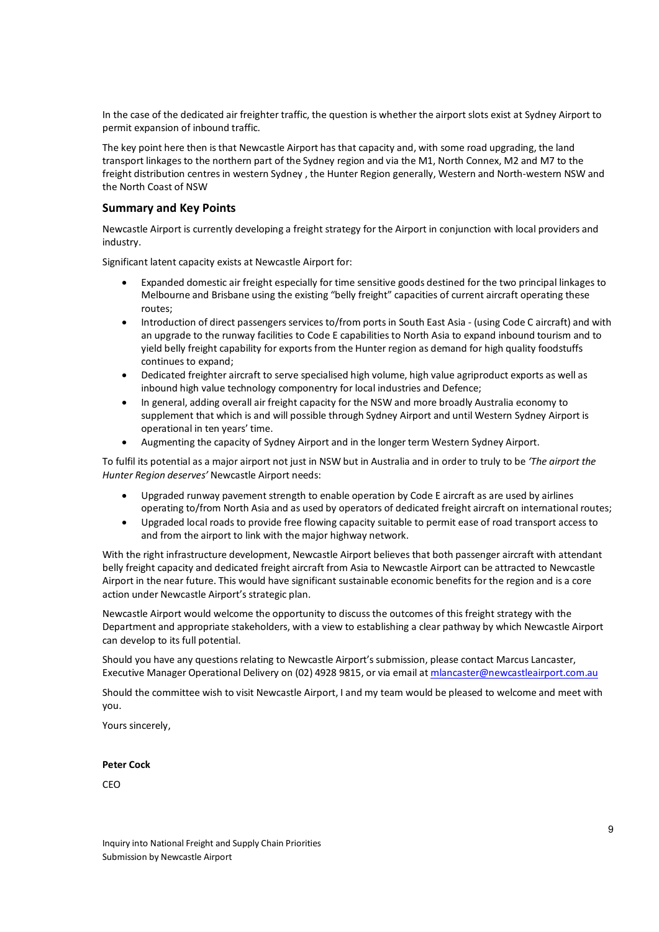In the case of the dedicated air freighter traffic, the question is whether the airport slots exist at Sydney Airport to permit expansion of inbound traffic.

The key point here then is that Newcastle Airport has that capacity and, with some road upgrading, the land transport linkages to the northern part of the Sydney region and via the M1, North Connex, M2 and M7 to the freight distribution centres in western Sydney , the Hunter Region generally, Western and North-western NSW and the North Coast of NSW

# **Summary and Key Points**

Newcastle Airport is currently developing a freight strategy for the Airport in conjunction with local providers and industry.

Significant latent capacity exists at Newcastle Airport for:

- Expanded domestic air freight especially for time sensitive goods destined for the two principal linkages to Melbourne and Brisbane using the existing "belly freight" capacities of current aircraft operating these routes;
- Introduction of direct passengers services to/from ports in South East Asia (using Code C aircraft) and with an upgrade to the runway facilities to Code E capabilities to North Asia to expand inbound tourism and to yield belly freight capability for exports from the Hunter region as demand for high quality foodstuffs continues to expand;
- Dedicated freighter aircraft to serve specialised high volume, high value agriproduct exports as well as inbound high value technology componentry for local industries and Defence;
- In general, adding overall air freight capacity for the NSW and more broadly Australia economy to supplement that which is and will possible through Sydney Airport and until Western Sydney Airport is operational in ten years' time.
- Augmenting the capacity of Sydney Airport and in the longer term Western Sydney Airport.

To fulfil its potential as a major airport not just in NSW but in Australia and in order to truly to be *'The airport the Hunter Region deserves'* Newcastle Airport needs:

- Upgraded runway pavement strength to enable operation by Code E aircraft as are used by airlines operating to/from North Asia and as used by operators of dedicated freight aircraft on international routes;
- Upgraded local roads to provide free flowing capacity suitable to permit ease of road transport access to and from the airport to link with the major highway network.

With the right infrastructure development, Newcastle Airport believes that both passenger aircraft with attendant belly freight capacity and dedicated freight aircraft from Asia to Newcastle Airport can be attracted to Newcastle Airport in the near future. This would have significant sustainable economic benefits for the region and is a core action under Newcastle Airport's strategic plan.

Newcastle Airport would welcome the opportunity to discuss the outcomes of this freight strategy with the Department and appropriate stakeholders, with a view to establishing a clear pathway by which Newcastle Airport can develop to its full potential.

Should you have any questions relating to Newcastle Airport's submission, please contact Marcus Lancaster, Executive Manager Operational Delivery on (02) 4928 9815, or via email at mlancaster@newcastleairport.com.au

Should the committee wish to visit Newcastle Airport, I and my team would be pleased to welcome and meet with you.

Yours sincerely,

#### **Peter Cock**

**CEO**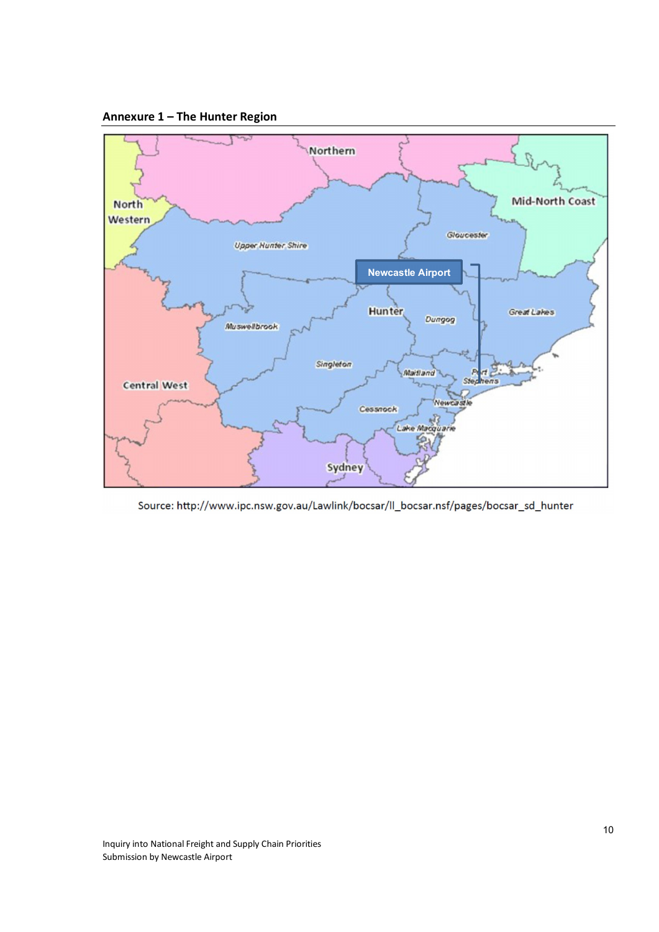



Source: http://www.ipc.nsw.gov.au/Lawlink/bocsar/ll\_bocsar.nsf/pages/bocsar\_sd\_hunter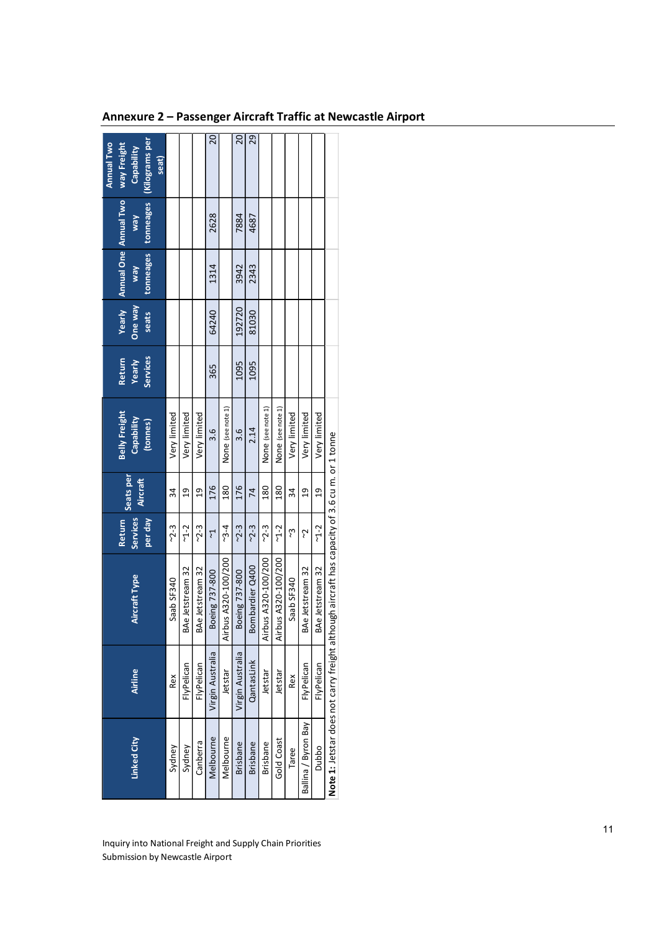| 29<br>20<br>$\overline{c}$<br>(Kilograms per<br>Capability<br>seat)<br><b>Annual One Annual Two</b><br>tonneages<br>2628<br>7884<br>4687<br>Vew<br>tonneages<br>2343<br>3942<br>1314<br>Vew<br><b>Yearly</b><br>Vew aug<br>192720<br>81030<br>64240<br>seats<br>Services<br>Yearly<br>1095<br>1095<br>365<br>None (see note 1)<br>None (see note 1)<br>None (see note 1)<br>Very limited<br>Very limited<br>Very limited<br>Very limited<br>Very limited<br>Very limited<br>Capability<br>(tonnes)<br>2.14<br>3.6<br>3.6<br>Note 1: Jetstar does not carry freight although aircraft has capacity of 3.6 cu m. or 1 tonne<br>Seats per<br>Aircraft<br>176<br>180<br>180<br>176<br>180<br>34<br><u>ግ</u><br><u>ግ</u><br>74<br>34<br>$\frac{9}{1}$<br>ግ<br>ግ<br><b>Services</b><br>per day<br><b>Return</b><br>$~2 - 3$<br>$3 - 4$<br>$2 - 3$<br>$~2 - 3$<br>$~2 - 3$<br>$~2 - 3$<br>$-1 - 2$<br>$-1 - 2$<br>$~2$ -2<br>ى<br>ئ<br>ζ,<br>7<br>Airbus A320-100/200<br>Airbus A320-100/200<br>Airbus A320-100/200<br>Bombardier Q400<br>BAe Jetstream 32<br><b>Ae Jetstream 32</b><br>BAe Jetstream 32<br>Boeing 737-800<br><b>Ae Jetstream 32</b><br>Boeing 737-800<br><b>Aircraft Type</b><br>Saab SF340<br>Saab SF340<br>몽<br>몽<br>Virgin Australia<br>Virgin Australia<br>QantasLink<br>FlyPelican<br>FlyPelican<br>FlyPelican<br>FlyPelican<br>Airline<br>Jetstar<br>Jetstar<br>Jetstar<br>Rex<br>Rex<br>Linked City<br>Canberra<br><b>Brisbane</b><br>Sydney<br>Sydney |                     |  |  |                      |               |  | <b>Annual Two</b> |
|-------------------------------------------------------------------------------------------------------------------------------------------------------------------------------------------------------------------------------------------------------------------------------------------------------------------------------------------------------------------------------------------------------------------------------------------------------------------------------------------------------------------------------------------------------------------------------------------------------------------------------------------------------------------------------------------------------------------------------------------------------------------------------------------------------------------------------------------------------------------------------------------------------------------------------------------------------------------------------------------------------------------------------------------------------------------------------------------------------------------------------------------------------------------------------------------------------------------------------------------------------------------------------------------------------------------------------------------------------------------------------------------------------------------------------------------------------------------------|---------------------|--|--|----------------------|---------------|--|-------------------|
|                                                                                                                                                                                                                                                                                                                                                                                                                                                                                                                                                                                                                                                                                                                                                                                                                                                                                                                                                                                                                                                                                                                                                                                                                                                                                                                                                                                                                                                                         |                     |  |  | <b>Belly Freight</b> | <b>Return</b> |  | way Freight       |
|                                                                                                                                                                                                                                                                                                                                                                                                                                                                                                                                                                                                                                                                                                                                                                                                                                                                                                                                                                                                                                                                                                                                                                                                                                                                                                                                                                                                                                                                         |                     |  |  |                      |               |  |                   |
|                                                                                                                                                                                                                                                                                                                                                                                                                                                                                                                                                                                                                                                                                                                                                                                                                                                                                                                                                                                                                                                                                                                                                                                                                                                                                                                                                                                                                                                                         |                     |  |  |                      |               |  |                   |
|                                                                                                                                                                                                                                                                                                                                                                                                                                                                                                                                                                                                                                                                                                                                                                                                                                                                                                                                                                                                                                                                                                                                                                                                                                                                                                                                                                                                                                                                         |                     |  |  |                      |               |  |                   |
|                                                                                                                                                                                                                                                                                                                                                                                                                                                                                                                                                                                                                                                                                                                                                                                                                                                                                                                                                                                                                                                                                                                                                                                                                                                                                                                                                                                                                                                                         |                     |  |  |                      |               |  |                   |
|                                                                                                                                                                                                                                                                                                                                                                                                                                                                                                                                                                                                                                                                                                                                                                                                                                                                                                                                                                                                                                                                                                                                                                                                                                                                                                                                                                                                                                                                         | Melbourne           |  |  |                      |               |  |                   |
|                                                                                                                                                                                                                                                                                                                                                                                                                                                                                                                                                                                                                                                                                                                                                                                                                                                                                                                                                                                                                                                                                                                                                                                                                                                                                                                                                                                                                                                                         | Melbourne           |  |  |                      |               |  |                   |
|                                                                                                                                                                                                                                                                                                                                                                                                                                                                                                                                                                                                                                                                                                                                                                                                                                                                                                                                                                                                                                                                                                                                                                                                                                                                                                                                                                                                                                                                         | <b>Brisbane</b>     |  |  |                      |               |  |                   |
|                                                                                                                                                                                                                                                                                                                                                                                                                                                                                                                                                                                                                                                                                                                                                                                                                                                                                                                                                                                                                                                                                                                                                                                                                                                                                                                                                                                                                                                                         |                     |  |  |                      |               |  |                   |
|                                                                                                                                                                                                                                                                                                                                                                                                                                                                                                                                                                                                                                                                                                                                                                                                                                                                                                                                                                                                                                                                                                                                                                                                                                                                                                                                                                                                                                                                         | <b>Brisbane</b>     |  |  |                      |               |  |                   |
|                                                                                                                                                                                                                                                                                                                                                                                                                                                                                                                                                                                                                                                                                                                                                                                                                                                                                                                                                                                                                                                                                                                                                                                                                                                                                                                                                                                                                                                                         | Gold Coast          |  |  |                      |               |  |                   |
|                                                                                                                                                                                                                                                                                                                                                                                                                                                                                                                                                                                                                                                                                                                                                                                                                                                                                                                                                                                                                                                                                                                                                                                                                                                                                                                                                                                                                                                                         | Taree               |  |  |                      |               |  |                   |
|                                                                                                                                                                                                                                                                                                                                                                                                                                                                                                                                                                                                                                                                                                                                                                                                                                                                                                                                                                                                                                                                                                                                                                                                                                                                                                                                                                                                                                                                         | Ballina / Byron Bay |  |  |                      |               |  |                   |
|                                                                                                                                                                                                                                                                                                                                                                                                                                                                                                                                                                                                                                                                                                                                                                                                                                                                                                                                                                                                                                                                                                                                                                                                                                                                                                                                                                                                                                                                         | Dubbo               |  |  |                      |               |  |                   |
|                                                                                                                                                                                                                                                                                                                                                                                                                                                                                                                                                                                                                                                                                                                                                                                                                                                                                                                                                                                                                                                                                                                                                                                                                                                                                                                                                                                                                                                                         |                     |  |  |                      |               |  |                   |

**Annexure 2 – Passenger Aircraft Traffic at Newcastle Airport**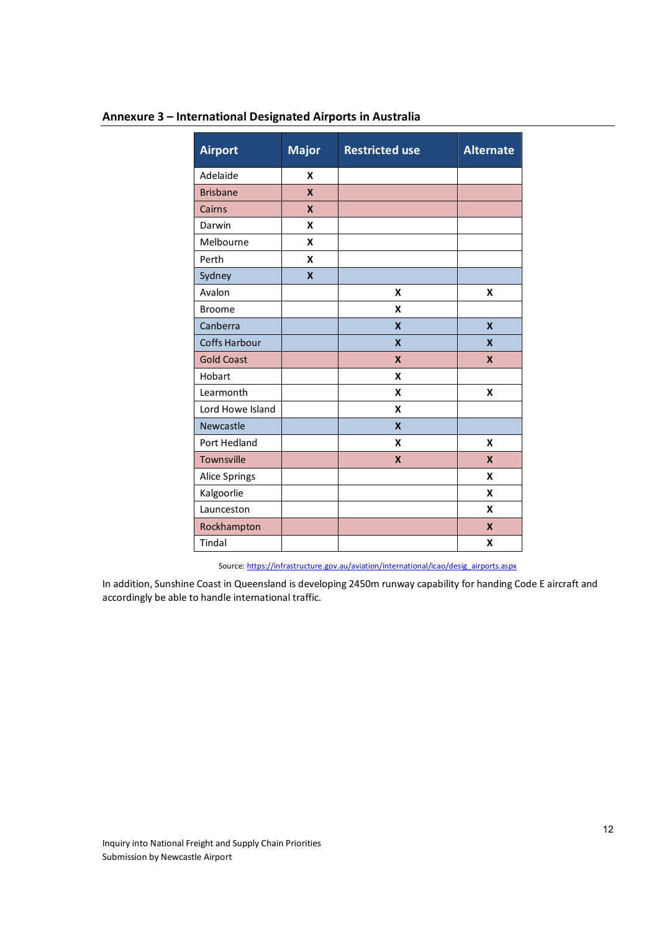| Annexure 3 - International Designated Airports in Australia |
|-------------------------------------------------------------|
|-------------------------------------------------------------|

| <b>Airport</b>       | <b>Major</b>              | <b>Restricted use</b>     | <b>Alternate</b>          |
|----------------------|---------------------------|---------------------------|---------------------------|
| Adelaide             | X                         |                           |                           |
| <b>Brisbane</b>      | X                         |                           |                           |
| Cairns               | $\boldsymbol{x}$          |                           |                           |
| Darwin               | X                         |                           |                           |
| Melbourne            | X                         |                           |                           |
| Perth                | X                         |                           |                           |
| Sydney               | $\boldsymbol{\mathsf{x}}$ |                           |                           |
| Avalon               |                           | X                         | X                         |
| <b>Broome</b>        |                           | X                         |                           |
| Canberra             |                           | X                         | $\boldsymbol{\mathsf{x}}$ |
| <b>Coffs Harbour</b> |                           | $\boldsymbol{\mathsf{x}}$ | $\boldsymbol{\mathsf{x}}$ |
| <b>Gold Coast</b>    |                           | $\boldsymbol{x}$          | $\boldsymbol{x}$          |
| Hobart               |                           | X                         |                           |
| Learmonth            |                           | X                         | X                         |
| Lord Howe Island     |                           | X                         |                           |
| Newcastle            |                           | $\boldsymbol{\mathsf{x}}$ |                           |
| Port Hedland         |                           | X                         | X                         |
| Townsville           |                           | X                         | X                         |
| <b>Alice Springs</b> |                           |                           | X                         |
| Kalgoorlie           |                           |                           | X                         |
| Launceston           |                           |                           | X                         |
| Rockhampton          |                           |                           | $\boldsymbol{x}$          |
| Tindal               |                           |                           | X                         |

Source: https://infrastructure.gov.au/aviation/international/icao/desig\_airports.aspx

In addition, Sunshine Coast in Queensland is developing 2450m runway capability for handing Code E aircraft and accordingly be able to handle international traffic.